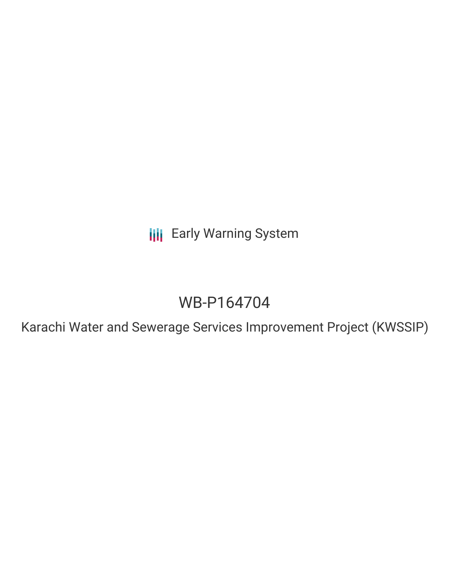**III** Early Warning System

# WB-P164704

Karachi Water and Sewerage Services Improvement Project (KWSSIP)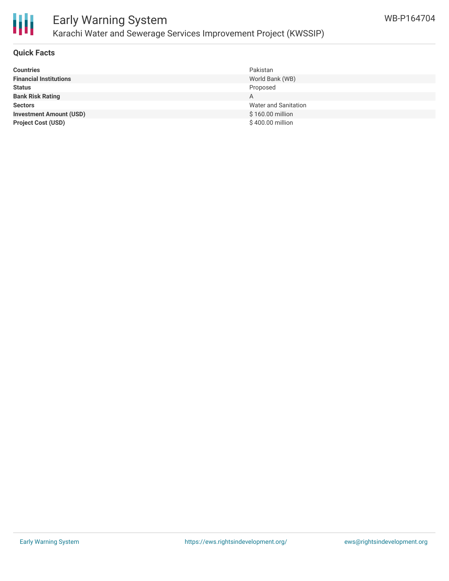

## Early Warning System Karachi Water and Sewerage Services Improvement Project (KWSSIP)

### **Quick Facts**

| <b>Countries</b>               | Pakistan                    |
|--------------------------------|-----------------------------|
| <b>Financial Institutions</b>  | World Bank (WB)             |
| <b>Status</b>                  | Proposed                    |
| <b>Bank Risk Rating</b>        | A                           |
| <b>Sectors</b>                 | <b>Water and Sanitation</b> |
| <b>Investment Amount (USD)</b> | \$160.00 million            |
| <b>Project Cost (USD)</b>      | \$400.00 million            |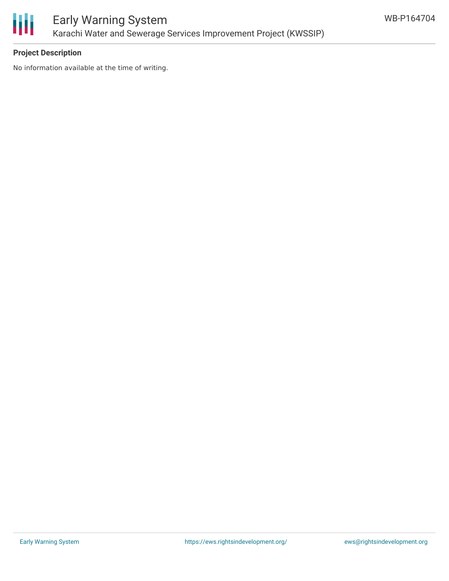

### **Project Description**

No information available at the time of writing.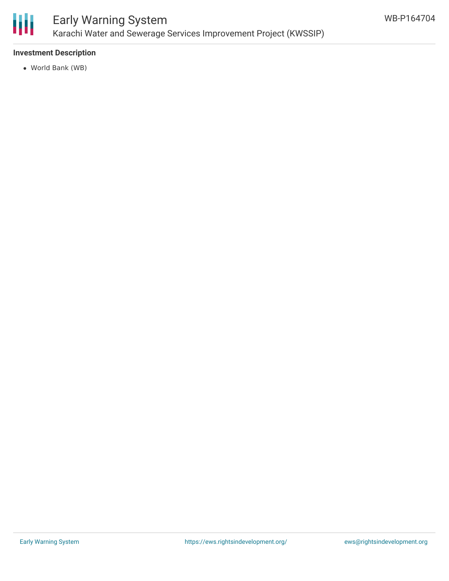

### Early Warning System Karachi Water and Sewerage Services Improvement Project (KWSSIP)

### **Investment Description**

World Bank (WB)